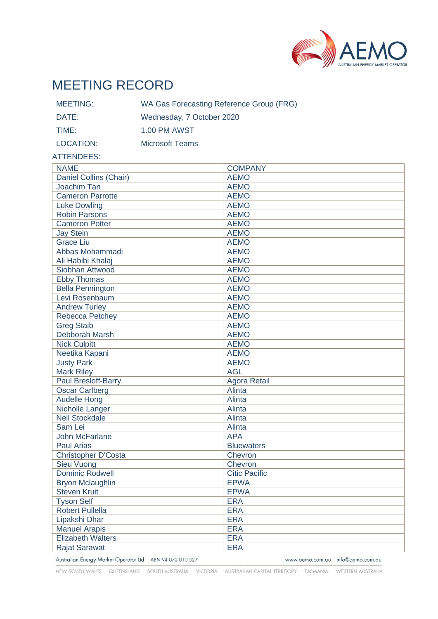

# MEETING RECORD

| MEETING:  | WA Gas Forecasting Reference Group (FRG) |
|-----------|------------------------------------------|
| DATE:     | Wednesday, 7 October 2020                |
| TIME:     | 1.00 PM AWST                             |
| LOCATION: | Microsoft Teams                          |

#### ATTENDEES:

| <b>NAME</b>              | <b>COMPANY</b>       |
|--------------------------|----------------------|
| Daniel Collins (Chair)   | <b>AEMO</b>          |
| Joachim Tan              | <b>AEMO</b>          |
| <b>Cameron Parrotte</b>  | <b>AEMO</b>          |
| <b>Luke Dowling</b>      | <b>AEMO</b>          |
| <b>Robin Parsons</b>     | <b>AEMO</b>          |
| <b>Cameron Potter</b>    | <b>AEMO</b>          |
| <b>Jay Stein</b>         | <b>AEMO</b>          |
| <b>Grace Liu</b>         | <b>AEMO</b>          |
| Abbas Mohammadi          | <b>AEMO</b>          |
| Ali Habibi Khalaj        | <b>AEMO</b>          |
| Siobhan Attwood          | <b>AEMO</b>          |
| <b>Ebby Thomas</b>       | <b>AEMO</b>          |
| <b>Bella Pennington</b>  | <b>AEMO</b>          |
| Levi Rosenbaum           | <b>AEMO</b>          |
| <b>Andrew Turley</b>     | <b>AEMO</b>          |
| Rebecca Petchey          | <b>AEMO</b>          |
| <b>Greg Staib</b>        | <b>AEMO</b>          |
| Debborah Marsh           | <b>AEMO</b>          |
| <b>Nick Culpitt</b>      | <b>AEMO</b>          |
| Neetika Kapani           | <b>AEMO</b>          |
| <b>Justy Park</b>        | <b>AEMO</b>          |
| <b>Mark Riley</b>        | <b>AGL</b>           |
| Paul Bresloff-Barry      | <b>Agora Retail</b>  |
| <b>Oscar Carlberg</b>    | Alinta               |
| <b>Audelle Hong</b>      | Alinta               |
| Nicholle Langer          | Alinta               |
| <b>Neil Stockdale</b>    | Alinta               |
| Sam Lei                  | Alinta               |
| <b>John McFarlane</b>    | <b>APA</b>           |
| <b>Paul Arias</b>        | <b>Bluewaters</b>    |
| Christopher D'Costa      | Chevron              |
| <b>Sieu Vuong</b>        | Chevron              |
| <b>Dominic Rodwell</b>   | <b>Citic Pacific</b> |
| <b>Bryon Mclaughlin</b>  | <b>EPWA</b>          |
| <b>Steven Kruit</b>      | <b>EPWA</b>          |
| <b>Tyson Self</b>        | <b>ERA</b>           |
| <b>Robert Pullella</b>   | <b>ERA</b>           |
| Lipakshi Dhar            | <b>ERA</b>           |
| <b>Manuel Arapis</b>     | <b>ERA</b>           |
| <b>Elizabeth Walters</b> | <b>ERA</b>           |
| <b>Rajat Sarawat</b>     | <b>ERA</b>           |

Australian Energy Market Operator Ltd ABN 94 072 010 327

www.aemo.com.au info@aemo.com.au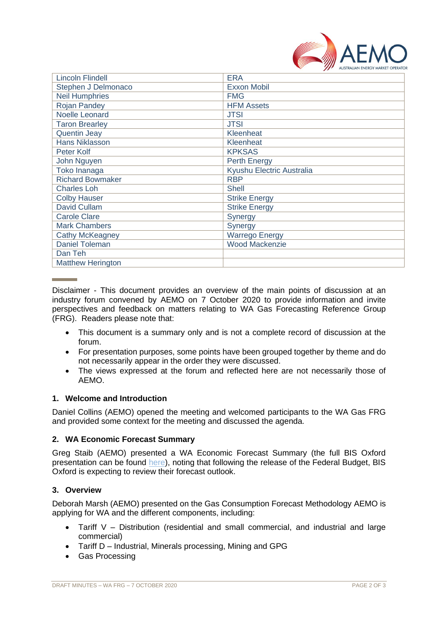

| <b>Lincoln Flindell</b>  | <b>ERA</b>                |
|--------------------------|---------------------------|
| Stephen J Delmonaco      | <b>Exxon Mobil</b>        |
| <b>Neil Humphries</b>    | <b>FMG</b>                |
| <b>Rojan Pandey</b>      | <b>HFM Assets</b>         |
| Noelle Leonard           | <b>JTSI</b>               |
| <b>Taron Brearley</b>    | <b>JTSI</b>               |
| <b>Quentin Jeay</b>      | Kleenheat                 |
| <b>Hans Niklasson</b>    | Kleenheat                 |
| Peter Kolf               | <b>KPKSAS</b>             |
| John Nguyen              | <b>Perth Energy</b>       |
| Toko Inanaga             | Kyushu Electric Australia |
| <b>Richard Bowmaker</b>  | <b>RBP</b>                |
| <b>Charles Loh</b>       | <b>Shell</b>              |
| <b>Colby Hauser</b>      | <b>Strike Energy</b>      |
| David Cullam             | <b>Strike Energy</b>      |
| <b>Carole Clare</b>      | Synergy                   |
| <b>Mark Chambers</b>     | Synergy                   |
| Cathy McKeagney          | <b>Warrego Energy</b>     |
| <b>Daniel Toleman</b>    | <b>Wood Mackenzie</b>     |
| Dan Teh                  |                           |
| <b>Matthew Herington</b> |                           |

Disclaimer - This document provides an overview of the main points of discussion at an industry forum convened by AEMO on 7 October 2020 to provide information and invite perspectives and feedback on matters relating to WA Gas Forecasting Reference Group (FRG). Readers please note that:

- This document is a summary only and is not a complete record of discussion at the forum.
- For presentation purposes, some points have been grouped together by theme and do not necessarily appear in the order they were discussed.
- The views expressed at the forum and reflected here are not necessarily those of AEMO.

## **1. Welcome and Introduction**

Daniel Collins (AEMO) opened the meeting and welcomed participants to the WA Gas FRG and provided some context for the meeting and discussed the agenda.

## **2. WA Economic Forecast Summary**

Greg Staib (AEMO) presented a WA Economic Forecast Summary (the full BIS Oxford presentation can be found [here\)](https://aemo.com.au/-/media/files/stakeholder_consultation/working_groups/other_meetings/frg/2020/frg-meeting-35---meeting-pack.zip?la=en), noting that following the release of the Federal Budget, BIS Oxford is expecting to review their forecast outlook.

### **3. Overview**

Deborah Marsh (AEMO) presented on the Gas Consumption Forecast Methodology AEMO is applying for WA and the different components, including:

- Tariff V Distribution (residential and small commercial, and industrial and large commercial)
- Tariff D Industrial, Minerals processing, Mining and GPG
- Gas Processing